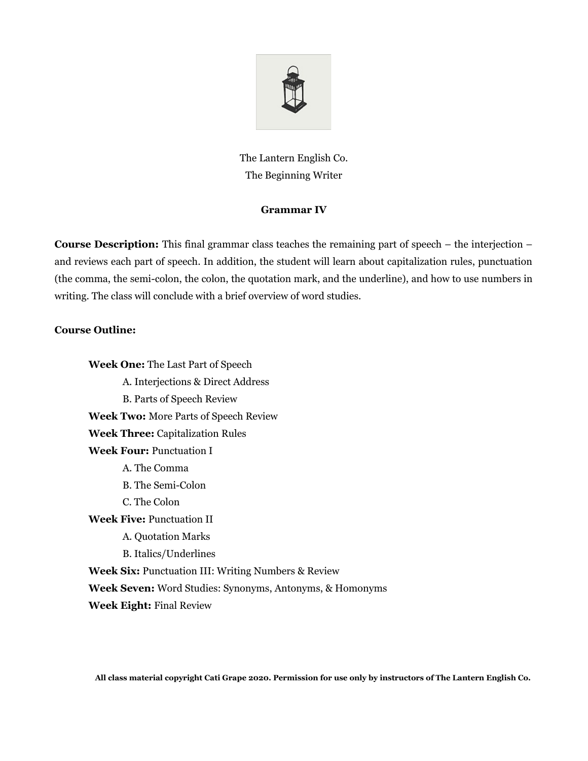

The Lantern English Co. The Beginning Writer

## **Grammar IV**

**Course Description:** This final grammar class teaches the remaining part of speech – the interjection – and reviews each part of speech. In addition, the student will learn about capitalization rules, punctuation (the comma, the semi-colon, the colon, the quotation mark, and the underline), and how to use numbers in writing. The class will conclude with a brief overview of word studies.

## **Course Outline:**

**Week One:** The Last Part of Speech A. Interjections & Direct Address B. Parts of Speech Review **Week Two:** More Parts of Speech Review **Week Three:** Capitalization Rules **Week Four:** Punctuation I A. The Comma B. The Semi-Colon C. The Colon **Week Five:** Punctuation II A. Quotation Marks B. Italics/Underlines **Week Six:** Punctuation III: Writing Numbers & Review **Week Seven:** Word Studies: Synonyms, Antonyms, & Homonyms **Week Eight:** Final Review